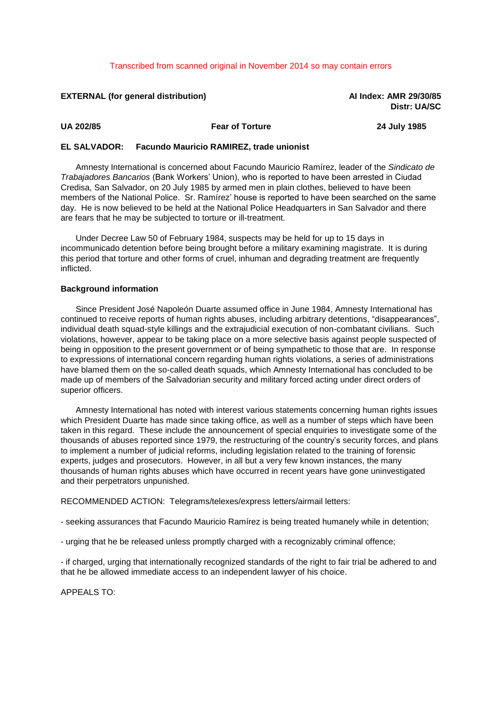## Transcribed from scanned original in November 2014 so may contain errors

## **EXTERNAL (for general distribution) AI Index: AMR 29/30/85**

**Distr: UA/SC**

**UA 202/85 Fear of Torture 24 July 1985**

## **EL SALVADOR: Facundo Mauricio RAMIREZ, trade unionist**

Amnesty International is concerned about Facundo Mauricio Ramírez, leader of the *Sindicato de Trabajadores Bancarios* (Bank Workers' Union), who is reported to have been arrested in Ciudad Credisa, San Salvador, on 20 July 1985 by armed men in plain clothes, believed to have been members of the National Police. Sr. Ramírez' house is reported to have been searched on the same day. He is now believed to be held at the National Police Headquarters in San Salvador and there are fears that he may be subjected to torture or ill-treatment.

Under Decree Law 50 of February 1984, suspects may be held for up to 15 days in incommunicado detention before being brought before a military examining magistrate. It is during this period that torture and other forms of cruel, inhuman and degrading treatment are frequently inflicted.

## **Background information**

Since President José Napoleón Duarte assumed office in June 1984, Amnesty International has continued to receive reports of human rights abuses, including arbitrary detentions, "disappearances", individual death squad-style killings and the extrajudicial execution of non-combatant civilians. Such violations, however, appear to be taking place on a more selective basis against people suspected of being in opposition to the present government or of being sympathetic to those that are. In response to expressions of international concern regarding human rights violations, a series of administrations have blamed them on the so-called death squads, which Amnesty International has concluded to be made up of members of the Salvadorian security and military forced acting under direct orders of superior officers.

Amnesty International has noted with interest various statements concerning human rights issues which President Duarte has made since taking office, as well as a number of steps which have been taken in this regard. These include the announcement of special enquiries to investigate some of the thousands of abuses reported since 1979, the restructuring of the country's security forces, and plans to implement a number of judicial reforms, including legislation related to the training of forensic experts, judges and prosecutors. However, in all but a very few known instances, the many thousands of human rights abuses which have occurred in recent years have gone uninvestigated and their perpetrators unpunished.

RECOMMENDED ACTION: Telegrams/telexes/express letters/airmail letters:

- seeking assurances that Facundo Mauricio Ramírez is being treated humanely while in detention;

- urging that he be released unless promptly charged with a recognizably criminal offence;

- if charged, urging that internationally recognized standards of the right to fair trial be adhered to and that he be allowed immediate access to an independent lawyer of his choice.

APPEALS TO: